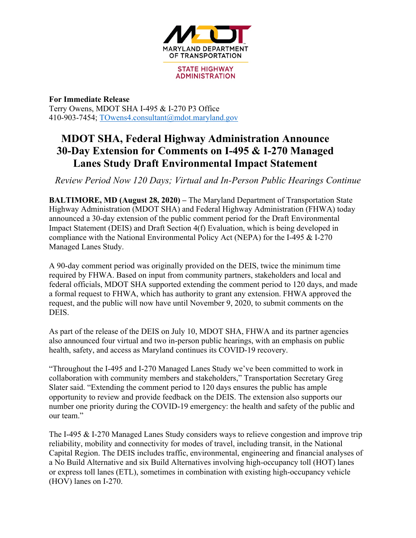

**STATE HIGHWAY ADMINISTRATION** 

**For Immediate Release** Terry Owens, MDOT SHA I-495 & I-270 P3 Office 410-903-7454; TOwens4.consultant@mdot.maryland.gov

## **MDOT SHA, Federal Highway Administration Announce 30-Day Extension for Comments on I-495 & I-270 Managed Lanes Study Draft Environmental Impact Statement**

*Review Period Now 120 Days; Virtual and In-Person Public Hearings Continue*

**BALTIMORE, MD (August 28, 2020) –** The Maryland Department of Transportation State Highway Administration (MDOT SHA) and Federal Highway Administration (FHWA) today announced a 30-day extension of the public comment period for the Draft Environmental Impact Statement (DEIS) and Draft Section 4(f) Evaluation, which is being developed in compliance with the National Environmental Policy Act (NEPA) for the I-495 & I-270 Managed Lanes Study.

A 90-day comment period was originally provided on the DEIS, twice the minimum time required by FHWA. Based on input from community partners, stakeholders and local and federal officials, MDOT SHA supported extending the comment period to 120 days, and made a formal request to FHWA, which has authority to grant any extension. FHWA approved the request, and the public will now have until November 9, 2020, to submit comments on the DEIS.

As part of the release of the DEIS on July 10, MDOT SHA, FHWA and its partner agencies also announced four virtual and two in-person public hearings, with an emphasis on public health, safety, and access as Maryland continues its COVID-19 recovery.

"Throughout the I-495 and I-270 Managed Lanes Study we've been committed to work in collaboration with community members and stakeholders," Transportation Secretary Greg Slater said. "Extending the comment period to 120 days ensures the public has ample opportunity to review and provide feedback on the DEIS. The extension also supports our number one priority during the COVID-19 emergency: the health and safety of the public and our team."

The I-495 & I-270 Managed Lanes Study considers ways to relieve congestion and improve trip reliability, mobility and connectivity for modes of travel, including transit, in the National Capital Region. The DEIS includes traffic, environmental, engineering and financial analyses of a No Build Alternative and six Build Alternatives involving high-occupancy toll (HOT) lanes or express toll lanes (ETL), sometimes in combination with existing high-occupancy vehicle (HOV) lanes on I-270.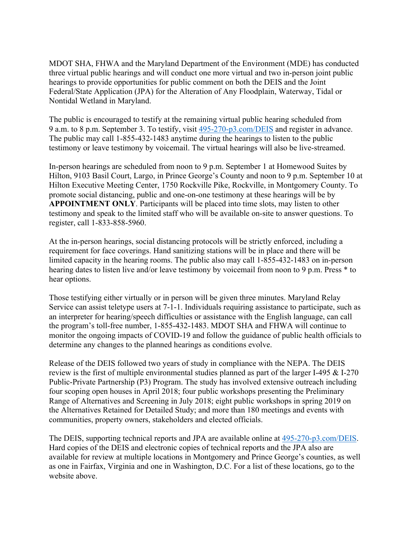MDOT SHA, FHWA and the Maryland Department of the Environment (MDE) has conducted three virtual public hearings and will conduct one more virtual and two in-person joint public hearings to provide opportunities for public comment on both the DEIS and the Joint Federal/State Application (JPA) for the Alteration of Any Floodplain, Waterway, Tidal or Nontidal Wetland in Maryland.

The public is encouraged to testify at the remaining virtual public hearing scheduled from 9 a.m. to 8 p.m. September 3. To testify, visit 495-270-p3.com/DEIS and register in advance. The public may call 1-855-432-1483 anytime during the hearings to listen to the public testimony or leave testimony by voicemail. The virtual hearings will also be live-streamed.

In-person hearings are scheduled from noon to 9 p.m. September 1 at Homewood Suites by Hilton, 9103 Basil Court, Largo, in Prince George's County and noon to 9 p.m. September 10 at Hilton Executive Meeting Center, 1750 Rockville Pike, Rockville, in Montgomery County. To promote social distancing, public and one-on-one testimony at these hearings will be by **APPOINTMENT ONLY**. Participants will be placed into time slots, may listen to other testimony and speak to the limited staff who will be available on-site to answer questions. To register, call 1-833-858-5960.

At the in-person hearings, social distancing protocols will be strictly enforced, including a requirement for face coverings. Hand sanitizing stations will be in place and there will be limited capacity in the hearing rooms. The public also may call 1-855-432-1483 on in-person hearing dates to listen live and/or leave testimony by voicemail from noon to 9 p.m. Press  $*$  to hear options.

Those testifying either virtually or in person will be given three minutes. Maryland Relay Service can assist teletype users at 7-1-1. Individuals requiring assistance to participate, such as an interpreter for hearing/speech difficulties or assistance with the English language, can call the program's toll-free number, 1-855-432-1483. MDOT SHA and FHWA will continue to monitor the ongoing impacts of COVID-19 and follow the guidance of public health officials to determine any changes to the planned hearings as conditions evolve.

Release of the DEIS followed two years of study in compliance with the NEPA. The DEIS review is the first of multiple environmental studies planned as part of the larger I-495 & I-270 Public-Private Partnership (P3) Program. The study has involved extensive outreach including four scoping open houses in April 2018; four public workshops presenting the Preliminary Range of Alternatives and Screening in July 2018; eight public workshops in spring 2019 on the Alternatives Retained for Detailed Study; and more than 180 meetings and events with communities, property owners, stakeholders and elected officials.

The DEIS, supporting technical reports and JPA are available online at 495-270-p3.com/DEIS. Hard copies of the DEIS and electronic copies of technical reports and the JPA also are available for review at multiple locations in Montgomery and Prince George's counties, as well as one in Fairfax, Virginia and one in Washington, D.C. For a list of these locations, go to the website above.